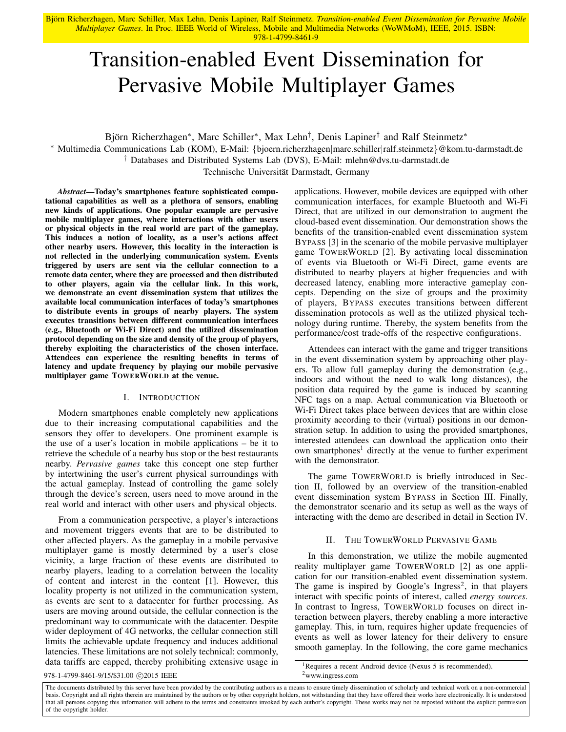Björn Richerzhagen, Marc Schiller, Max Lehn, Denis Lapiner, Ralf Steinmetz. Transition-enabled Event Dissemination for Pervasive Mobile *Multiplayer Games*. In Proc. IEEE World of Wireless, Mobile and Multimedia Networks (WoWMoM), IEEE, 2015. ISBN: 978-1-4799-8461-9

# Transition-enabled Event Dissemination for Pervasive Mobile Multiplayer Games

Björn Richerzhagen\*, Marc Schiller\*, Max Lehn<sup>†</sup>, Denis Lapiner<sup>†</sup> and Ralf Steinmetz\*

<sup>∗</sup> Multimedia Communications Lab (KOM), E-Mail: {bjoern.richerzhagen|marc.schiller|ralf.steinmetz}@kom.tu-darmstadt.de

† Databases and Distributed Systems Lab (DVS), E-Mail: mlehn@dvs.tu-darmstadt.de

Technische Universität Darmstadt, Germany

*Abstract*—Today's smartphones feature sophisticated computational capabilities as well as a plethora of sensors, enabling new kinds of applications. One popular example are pervasive mobile multiplayer games, where interactions with other users or physical objects in the real world are part of the gameplay. This induces a notion of locality, as a user's actions affect other nearby users. However, this locality in the interaction is not reflected in the underlying communication system. Events triggered by users are sent via the cellular connection to a remote data center, where they are processed and then distributed to other players, again via the cellular link. In this work, we demonstrate an event dissemination system that utilizes the available local communication interfaces of today's smartphones to distribute events in groups of nearby players. The system executes transitions between different communication interfaces (e.g., Bluetooth or Wi-Fi Direct) and the utilized dissemination protocol depending on the size and density of the group of players, thereby exploiting the characteristics of the chosen interface. Attendees can experience the resulting benefits in terms of latency and update frequency by playing our mobile pervasive multiplayer game TOWERWORLD at the venue.

# I. INTRODUCTION

Modern smartphones enable completely new applications due to their increasing computational capabilities and the sensors they offer to developers. One prominent example is the use of a user's location in mobile applications – be it to retrieve the schedule of a nearby bus stop or the best restaurants nearby. *Pervasive games* take this concept one step further by intertwining the user's current physical surroundings with the actual gameplay. Instead of controlling the game solely through the device's screen, users need to move around in the real world and interact with other users and physical objects.

From a communication perspective, a player's interactions and movement triggers events that are to be distributed to other affected players. As the gameplay in a mobile pervasive multiplayer game is mostly determined by a user's close vicinity, a large fraction of these events are distributed to nearby players, leading to a correlation between the locality of content and interest in the content [1]. However, this locality property is not utilized in the communication system, as events are sent to a datacenter for further processing. As users are moving around outside, the cellular connection is the predominant way to communicate with the datacenter. Despite wider deployment of 4G networks, the cellular connection still limits the achievable update frequency and induces additional latencies. These limitations are not solely technical: commonly, data tariffs are capped, thereby prohibiting extensive usage in applications. However, mobile devices are equipped with other communication interfaces, for example Bluetooth and Wi-Fi Direct, that are utilized in our demonstration to augment the cloud-based event dissemination. Our demonstration shows the benefits of the transition-enabled event dissemination system BYPASS [3] in the scenario of the mobile pervasive multiplayer game TOWERWORLD [2]. By activating local dissemination of events via Bluetooth or Wi-Fi Direct, game events are distributed to nearby players at higher frequencies and with decreased latency, enabling more interactive gameplay concepts. Depending on the size of groups and the proximity of players, BYPASS executes transitions between different dissemination protocols as well as the utilized physical technology during runtime. Thereby, the system benefits from the performance/cost trade-offs of the respective configurations.

Attendees can interact with the game and trigger transitions in the event dissemination system by approaching other players. To allow full gameplay during the demonstration (e.g., indoors and without the need to walk long distances), the position data required by the game is induced by scanning NFC tags on a map. Actual communication via Bluetooth or Wi-Fi Direct takes place between devices that are within close proximity according to their (virtual) positions in our demonstration setup. In addition to using the provided smartphones, interested attendees can download the application onto their own smartphones<sup>1</sup> directly at the venue to further experiment with the demonstrator.

The game TOWERWORLD is briefly introduced in Section II, followed by an overview of the transition-enabled event dissemination system BYPASS in Section III. Finally, the demonstrator scenario and its setup as well as the ways of interacting with the demo are described in detail in Section IV.

## II. THE TOWERWORLD PERVASIVE GAME

In this demonstration, we utilize the mobile augmented reality multiplayer game TOWERWORLD [2] as one application for our transition-enabled event dissemination system. The game is inspired by Google's Ingress<sup>2</sup>, in that players interact with specific points of interest, called *energy sources*. In contrast to Ingress, TOWERWORLD focuses on direct interaction between players, thereby enabling a more interactive gameplay. This, in turn, requires higher update frequencies of events as well as lower latency for their delivery to ensure smooth gameplay. In the following, the core game mechanics

## 978-1-4799-8461-9/15/\$31.00 © 2015 IEEE <sup>2</sup>www.ingress.com

<sup>&</sup>lt;sup>1</sup>Requires a recent Android device (Nexus 5 is recommended).

The documents distributed by this server have been provided by the contributing authors as a means to ensure timely dissemination of scholarly and technical work on a non-commercial basis. Copyright and all rights therein are maintained by the authors or by other copyright holders, not withstanding that they have offered their works here electronically. It is understood that all persons copying this information will adhere to the terms and constraints invoked by each author's copyright. These works may not be reposted without the explicit permission of the copyright holder.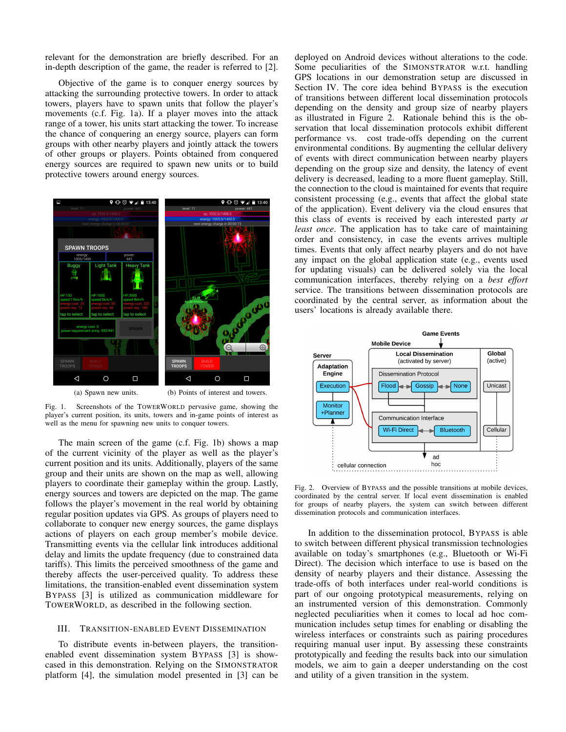relevant for the demonstration are briefly described. For an in-depth description of the game, the reader is referred to [2].

Objective of the game is to conquer energy sources by attacking the surrounding protective towers. In order to attack towers, players have to spawn units that follow the player's movements (c.f. Fig. 1a). If a player moves into the attack range of a tower, his units start attacking the tower. To increase the chance of conquering an energy source, players can form groups with other nearby players and jointly attack the towers of other groups or players. Points obtained from conquered energy sources are required to spawn new units or to build protective towers around energy sources.



Fig. 1. Screenshots of the TOWERWORLD pervasive game, showing the player's current position, its units, towers and in-game points of interest as well as the menu for spawning new units to conquer towers.

The main screen of the game (c.f. Fig. 1b) shows a map of the current vicinity of the player as well as the player's current position and its units. Additionally, players of the same group and their units are shown on the map as well, allowing players to coordinate their gameplay within the group. Lastly, energy sources and towers are depicted on the map. The game follows the player's movement in the real world by obtaining regular position updates via GPS. As groups of players need to collaborate to conquer new energy sources, the game displays actions of players on each group member's mobile device. Transmitting events via the cellular link introduces additional delay and limits the update frequency (due to constrained data tariffs). This limits the perceived smoothness of the game and thereby affects the user-perceived quality. To address these limitations, the transition-enabled event dissemination system BYPASS [3] is utilized as communication middleware for TOWERWORLD, as described in the following section.

### III. TRANSITION-ENABLED EVENT DISSEMINATION

To distribute events in-between players, the transitionenabled event dissemination system BYPASS [3] is showcased in this demonstration. Relying on the SIMONSTRATOR platform [4], the simulation model presented in [3] can be deployed on Android devices without alterations to the code. Some peculiarities of the SIMONSTRATOR w.r.t. handling GPS locations in our demonstration setup are discussed in Section IV. The core idea behind BYPASS is the execution of transitions between different local dissemination protocols depending on the density and group size of nearby players as illustrated in Figure 2. Rationale behind this is the observation that local dissemination protocols exhibit different performance vs. cost trade-offs depending on the current environmental conditions. By augmenting the cellular delivery of events with direct communication between nearby players depending on the group size and density, the latency of event delivery is decreased, leading to a more fluent gameplay. Still, the connection to the cloud is maintained for events that require consistent processing (e.g., events that affect the global state of the application). Event delivery via the cloud ensures that this class of events is received by each interested party *at least once*. The application has to take care of maintaining order and consistency, in case the events arrives multiple times. Events that only affect nearby players and do not have any impact on the global application state (e.g., events used for updating visuals) can be delivered solely via the local communication interfaces, thereby relying on a *best effort* service. The transitions between dissemination protocols are coordinated by the central server, as information about the users' locations is already available there.



Fig. 2. Overview of BYPASS and the possible transitions at mobile devices, coordinated by the central server. If local event dissemination is enabled for groups of nearby players, the system can switch between different dissemination protocols and communication interfaces.

In addition to the dissemination protocol, BYPASS is able to switch between different physical transmission technologies available on today's smartphones (e.g., Bluetooth or Wi-Fi Direct). The decision which interface to use is based on the density of nearby players and their distance. Assessing the trade-offs of both interfaces under real-world conditions is part of our ongoing prototypical measurements, relying on an instrumented version of this demonstration. Commonly neglected peculiarities when it comes to local ad hoc communication includes setup times for enabling or disabling the wireless interfaces or constraints such as pairing procedures requiring manual user input. By assessing these constraints prototypically and feeding the results back into our simulation models, we aim to gain a deeper understanding on the cost and utility of a given transition in the system.